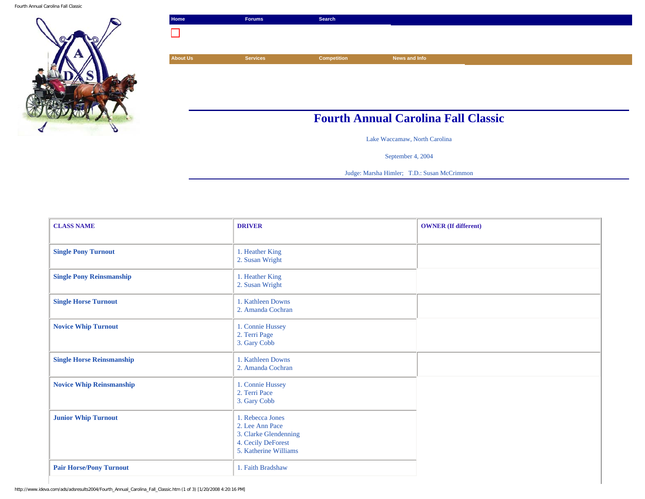Fourth Annual Carolina Fall Classic



| Home                                       | <b>Forums</b>   | Search             |               |  |
|--------------------------------------------|-----------------|--------------------|---------------|--|
|                                            |                 |                    |               |  |
|                                            |                 |                    |               |  |
| <b>About Us</b>                            | <b>Services</b> | <b>Competition</b> | News and Info |  |
|                                            |                 |                    |               |  |
|                                            |                 |                    |               |  |
|                                            |                 |                    |               |  |
|                                            |                 |                    |               |  |
| <b>Fourth Annual Carolina Fall Classic</b> |                 |                    |               |  |

Lake Waccamaw, North Carolina

September 4, 2004

Judge: Marsha Himler; T.D.: Susan McCrimmon

| <b>CLASS NAME</b>                | <b>DRIVER</b>                                                                                               | <b>OWNER</b> (If different) |
|----------------------------------|-------------------------------------------------------------------------------------------------------------|-----------------------------|
|                                  |                                                                                                             |                             |
| <b>Single Pony Turnout</b>       | 1. Heather King<br>2. Susan Wright                                                                          |                             |
| <b>Single Pony Reinsmanship</b>  | 1. Heather King<br>2. Susan Wright                                                                          |                             |
| <b>Single Horse Turnout</b>      | 1. Kathleen Downs<br>2. Amanda Cochran                                                                      |                             |
| <b>Novice Whip Turnout</b>       | 1. Connie Hussey<br>2. Terri Page<br>3. Gary Cobb                                                           |                             |
| <b>Single Horse Reinsmanship</b> | 1. Kathleen Downs<br>2. Amanda Cochran                                                                      |                             |
| <b>Novice Whip Reinsmanship</b>  | 1. Connie Hussey<br>2. Terri Pace<br>3. Gary Cobb                                                           |                             |
| <b>Junior Whip Turnout</b>       | 1. Rebecca Jones<br>2. Lee Ann Pace<br>3. Clarke Glendenning<br>4. Cecily DeForest<br>5. Katherine Williams |                             |
| <b>Pair Horse/Pony Turnout</b>   | 1. Faith Bradshaw                                                                                           |                             |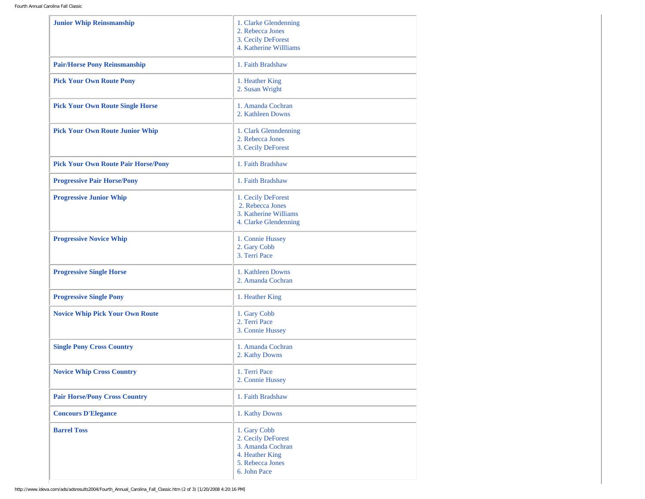| <b>Junior Whip Reinsmanship</b>            | 1. Clarke Glendenning<br>2. Rebecca Jones<br>3. Cecily DeForest<br>4. Katherine Willliams                      |
|--------------------------------------------|----------------------------------------------------------------------------------------------------------------|
| <b>Pair/Horse Pony Reinsmanship</b>        | 1. Faith Bradshaw                                                                                              |
| <b>Pick Your Own Route Pony</b>            | 1. Heather King<br>2. Susan Wright                                                                             |
| <b>Pick Your Own Route Single Horse</b>    | 1. Amanda Cochran<br>2. Kathleen Downs                                                                         |
| <b>Pick Your Own Route Junior Whip</b>     | 1. Clark Glenndenning<br>2. Rebecca Jones<br>3. Cecily DeForest                                                |
| <b>Pick Your Own Route Pair Horse/Pony</b> | 1. Faith Bradshaw                                                                                              |
| <b>Progressive Pair Horse/Pony</b>         | 1. Faith Bradshaw                                                                                              |
| <b>Progressive Junior Whip</b>             | 1. Cecily DeForest<br>2. Rebecca Jones<br>3. Katherine Williams<br>4. Clarke Glendenning                       |
| <b>Progressive Novice Whip</b>             | 1. Connie Hussey<br>2. Gary Cobb<br>3. Terri Pace                                                              |
| <b>Progressive Single Horse</b>            | 1. Kathleen Downs<br>2. Amanda Cochran                                                                         |
| <b>Progressive Single Pony</b>             | 1. Heather King                                                                                                |
| <b>Novice Whip Pick Your Own Route</b>     | 1. Gary Cobb<br>2. Terri Pace<br>3. Connie Hussey                                                              |
| <b>Single Pony Cross Country</b>           | 1. Amanda Cochran<br>2. Kathy Downs                                                                            |
| <b>Novice Whip Cross Country</b>           | 1. Terri Pace<br>2. Connie Hussey                                                                              |
| <b>Pair Horse/Pony Cross Country</b>       | 1. Faith Bradshaw                                                                                              |
| <b>Concours D'Elegance</b>                 | 1. Kathy Downs                                                                                                 |
| <b>Barrel Toss</b>                         | 1. Gary Cobb<br>2. Cecily DeForest<br>3. Amanda Cochran<br>4. Heather King<br>5. Rebecca Jones<br>6. John Pace |